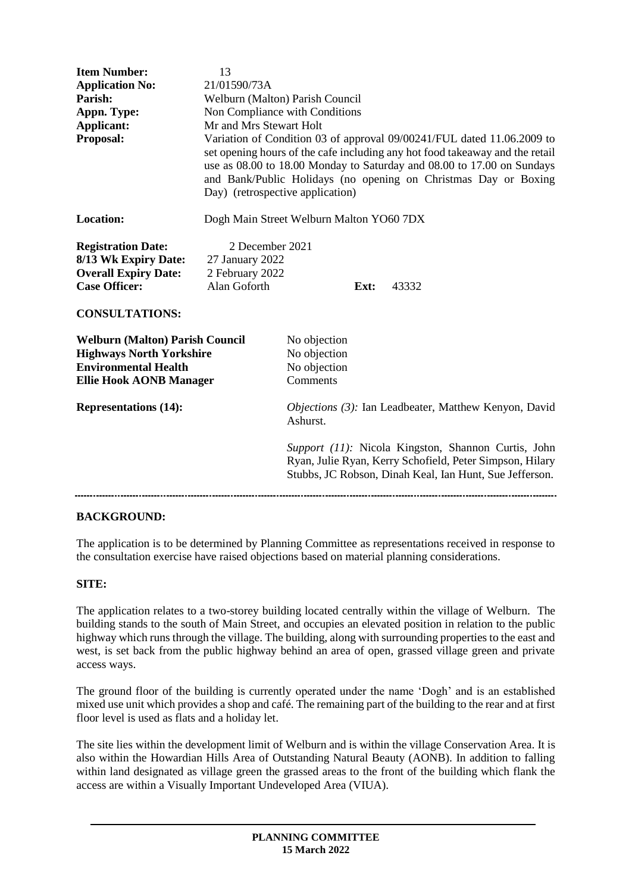| <b>Item Number:</b>                    | 13                                                                                                                                                                                                                                                                                                                                      |                                                                                                                                                                            |      |  |       |
|----------------------------------------|-----------------------------------------------------------------------------------------------------------------------------------------------------------------------------------------------------------------------------------------------------------------------------------------------------------------------------------------|----------------------------------------------------------------------------------------------------------------------------------------------------------------------------|------|--|-------|
| <b>Application No:</b>                 | 21/01590/73A                                                                                                                                                                                                                                                                                                                            |                                                                                                                                                                            |      |  |       |
| Parish:                                | Welburn (Malton) Parish Council                                                                                                                                                                                                                                                                                                         |                                                                                                                                                                            |      |  |       |
| Appn. Type:                            | Non Compliance with Conditions                                                                                                                                                                                                                                                                                                          |                                                                                                                                                                            |      |  |       |
| <b>Applicant:</b>                      | Mr and Mrs Stewart Holt                                                                                                                                                                                                                                                                                                                 |                                                                                                                                                                            |      |  |       |
| Proposal:                              | Variation of Condition 03 of approval 09/00241/FUL dated 11.06.2009 to<br>set opening hours of the cafe including any hot food takeaway and the retail<br>use as 08.00 to 18.00 Monday to Saturday and 08.00 to 17.00 on Sundays<br>and Bank/Public Holidays (no opening on Christmas Day or Boxing<br>Day) (retrospective application) |                                                                                                                                                                            |      |  |       |
| <b>Location:</b>                       | Dogh Main Street Welburn Malton YO60 7DX                                                                                                                                                                                                                                                                                                |                                                                                                                                                                            |      |  |       |
| <b>Registration Date:</b>              | 2 December 2021                                                                                                                                                                                                                                                                                                                         |                                                                                                                                                                            |      |  |       |
| 8/13 Wk Expiry Date:                   | 27 January 2022                                                                                                                                                                                                                                                                                                                         |                                                                                                                                                                            |      |  |       |
| <b>Overall Expiry Date:</b>            | 2 February 2022                                                                                                                                                                                                                                                                                                                         |                                                                                                                                                                            |      |  |       |
| <b>Case Officer:</b>                   | Alan Goforth                                                                                                                                                                                                                                                                                                                            |                                                                                                                                                                            | Ext: |  | 43332 |
| <b>CONSULTATIONS:</b>                  |                                                                                                                                                                                                                                                                                                                                         |                                                                                                                                                                            |      |  |       |
| <b>Welburn (Malton) Parish Council</b> |                                                                                                                                                                                                                                                                                                                                         | No objection                                                                                                                                                               |      |  |       |
| <b>Highways North Yorkshire</b>        |                                                                                                                                                                                                                                                                                                                                         | No objection                                                                                                                                                               |      |  |       |
| <b>Environmental Health</b>            |                                                                                                                                                                                                                                                                                                                                         | No objection                                                                                                                                                               |      |  |       |
| <b>Ellie Hook AONB Manager</b>         |                                                                                                                                                                                                                                                                                                                                         | Comments                                                                                                                                                                   |      |  |       |
| <b>Representations (14):</b>           |                                                                                                                                                                                                                                                                                                                                         | <i>Objections (3):</i> Ian Leadbeater, Matthew Kenyon, David<br>Ashurst.                                                                                                   |      |  |       |
|                                        |                                                                                                                                                                                                                                                                                                                                         | Support (11): Nicola Kingston, Shannon Curtis, John<br>Ryan, Julie Ryan, Kerry Schofield, Peter Simpson, Hilary<br>Stubbs, JC Robson, Dinah Keal, Ian Hunt, Sue Jefferson. |      |  |       |
|                                        |                                                                                                                                                                                                                                                                                                                                         |                                                                                                                                                                            |      |  |       |

# **BACKGROUND:**

The application is to be determined by Planning Committee as representations received in response to the consultation exercise have raised objections based on material planning considerations.

# **SITE:**

The application relates to a two-storey building located centrally within the village of Welburn. The building stands to the south of Main Street, and occupies an elevated position in relation to the public highway which runs through the village. The building, along with surrounding properties to the east and west, is set back from the public highway behind an area of open, grassed village green and private access ways.

The ground floor of the building is currently operated under the name 'Dogh' and is an established mixed use unit which provides a shop and café. The remaining part of the building to the rear and at first floor level is used as flats and a holiday let.

The site lies within the development limit of Welburn and is within the village Conservation Area. It is also within the Howardian Hills Area of Outstanding Natural Beauty (AONB). In addition to falling within land designated as village green the grassed areas to the front of the building which flank the access are within a Visually Important Undeveloped Area (VIUA).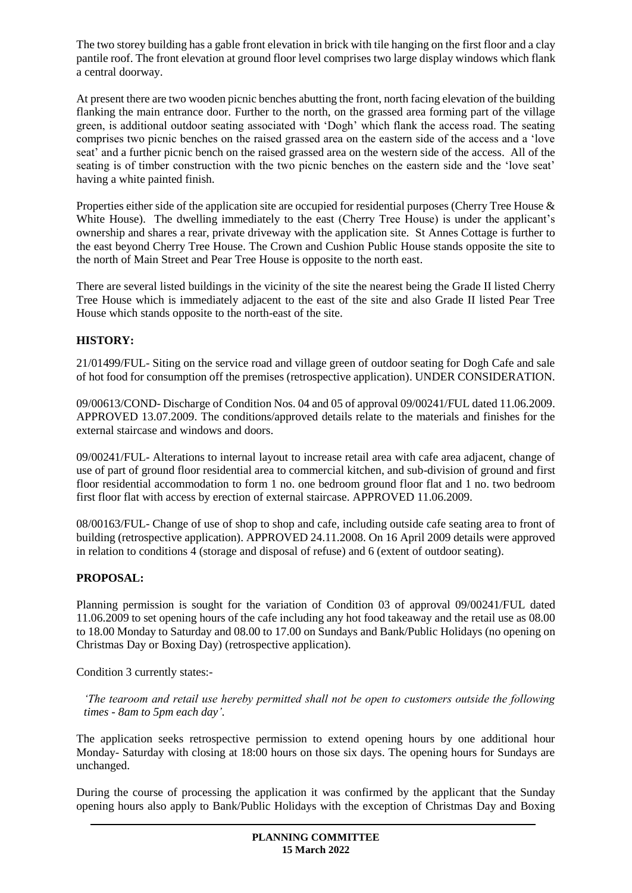The two storey building has a gable front elevation in brick with tile hanging on the first floor and a clay pantile roof. The front elevation at ground floor level comprises two large display windows which flank a central doorway.

At present there are two wooden picnic benches abutting the front, north facing elevation of the building flanking the main entrance door. Further to the north, on the grassed area forming part of the village green, is additional outdoor seating associated with 'Dogh' which flank the access road. The seating comprises two picnic benches on the raised grassed area on the eastern side of the access and a 'love seat' and a further picnic bench on the raised grassed area on the western side of the access. All of the seating is of timber construction with the two picnic benches on the eastern side and the 'love seat' having a white painted finish.

Properties either side of the application site are occupied for residential purposes (Cherry Tree House & White House). The dwelling immediately to the east (Cherry Tree House) is under the applicant's ownership and shares a rear, private driveway with the application site. St Annes Cottage is further to the east beyond Cherry Tree House. The Crown and Cushion Public House stands opposite the site to the north of Main Street and Pear Tree House is opposite to the north east.

There are several listed buildings in the vicinity of the site the nearest being the Grade II listed Cherry Tree House which is immediately adjacent to the east of the site and also Grade II listed Pear Tree House which stands opposite to the north-east of the site.

# **HISTORY:**

21/01499/FUL- Siting on the service road and village green of outdoor seating for Dogh Cafe and sale of hot food for consumption off the premises (retrospective application). UNDER CONSIDERATION.

09/00613/COND- Discharge of Condition Nos. 04 and 05 of approval 09/00241/FUL dated 11.06.2009. APPROVED 13.07.2009. The conditions/approved details relate to the materials and finishes for the external staircase and windows and doors.

09/00241/FUL- Alterations to internal layout to increase retail area with cafe area adjacent, change of use of part of ground floor residential area to commercial kitchen, and sub-division of ground and first floor residential accommodation to form 1 no. one bedroom ground floor flat and 1 no. two bedroom first floor flat with access by erection of external staircase. APPROVED 11.06.2009.

08/00163/FUL- Change of use of shop to shop and cafe, including outside cafe seating area to front of building (retrospective application). APPROVED 24.11.2008. On 16 April 2009 details were approved in relation to conditions 4 (storage and disposal of refuse) and 6 (extent of outdoor seating).

#### **PROPOSAL:**

Planning permission is sought for the variation of Condition 03 of approval 09/00241/FUL dated 11.06.2009 to set opening hours of the cafe including any hot food takeaway and the retail use as 08.00 to 18.00 Monday to Saturday and 08.00 to 17.00 on Sundays and Bank/Public Holidays (no opening on Christmas Day or Boxing Day) (retrospective application).

Condition 3 currently states:-

*'The tearoom and retail use hereby permitted shall not be open to customers outside the following times - 8am to 5pm each day'.*

The application seeks retrospective permission to extend opening hours by one additional hour Monday- Saturday with closing at 18:00 hours on those six days. The opening hours for Sundays are unchanged.

During the course of processing the application it was confirmed by the applicant that the Sunday opening hours also apply to Bank/Public Holidays with the exception of Christmas Day and Boxing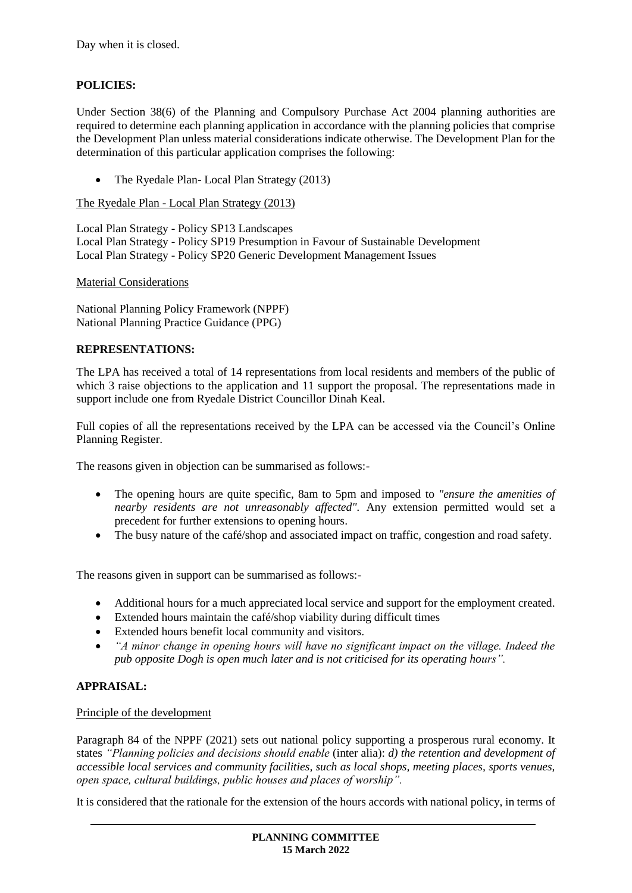# **POLICIES:**

Under Section 38(6) of the Planning and Compulsory Purchase Act 2004 planning authorities are required to determine each planning application in accordance with the planning policies that comprise the Development Plan unless material considerations indicate otherwise. The Development Plan for the determination of this particular application comprises the following:

• The Ryedale Plan- Local Plan Strategy (2013)

The Ryedale Plan - Local Plan Strategy (2013)

Local Plan Strategy - Policy SP13 Landscapes Local Plan Strategy - Policy SP19 Presumption in Favour of Sustainable Development Local Plan Strategy - Policy SP20 Generic Development Management Issues

Material Considerations

National Planning Policy Framework (NPPF) National Planning Practice Guidance (PPG)

# **REPRESENTATIONS:**

The LPA has received a total of 14 representations from local residents and members of the public of which 3 raise objections to the application and 11 support the proposal. The representations made in support include one from Ryedale District Councillor Dinah Keal.

Full copies of all the representations received by the LPA can be accessed via the Council's Online Planning Register.

The reasons given in objection can be summarised as follows:-

- The opening hours are quite specific, 8am to 5pm and imposed to *"ensure the amenities of nearby residents are not unreasonably affected".* Any extension permitted would set a precedent for further extensions to opening hours.
- The busy nature of the café/shop and associated impact on traffic, congestion and road safety.

The reasons given in support can be summarised as follows:-

- Additional hours for a much appreciated local service and support for the employment created.
- Extended hours maintain the café/shop viability during difficult times
- Extended hours benefit local community and visitors.
- *"A minor change in opening hours will have no significant impact on the village. Indeed the pub opposite Dogh is open much later and is not criticised for its operating hours".*

# **APPRAISAL:**

#### Principle of the development

Paragraph 84 of the NPPF (2021) sets out national policy supporting a prosperous rural economy. It states *"Planning policies and decisions should enable* (inter alia): *d) the retention and development of accessible local services and community facilities, such as local shops, meeting places, sports venues, open space, cultural buildings, public houses and places of worship".*

It is considered that the rationale for the extension of the hours accords with national policy, in terms of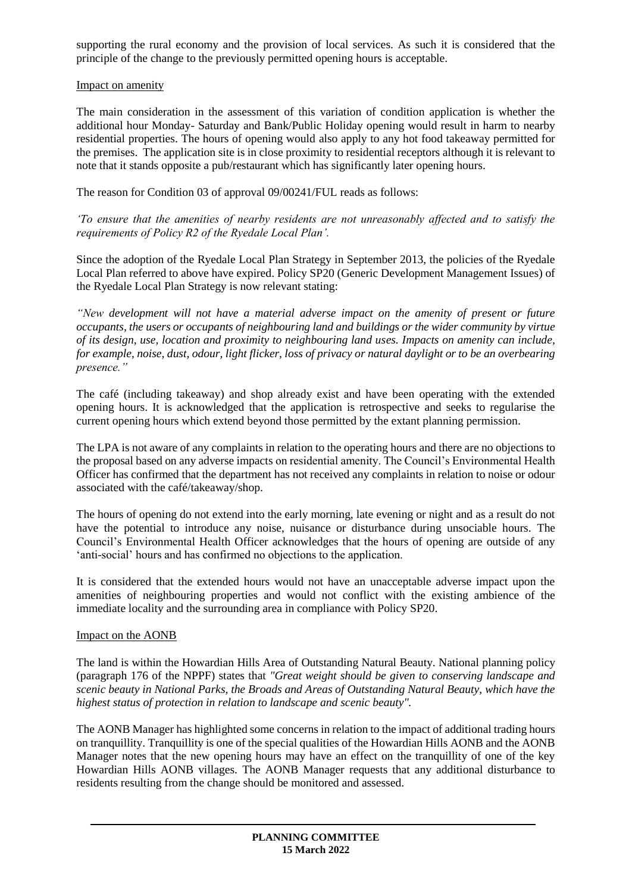supporting the rural economy and the provision of local services. As such it is considered that the principle of the change to the previously permitted opening hours is acceptable.

#### Impact on amenity

The main consideration in the assessment of this variation of condition application is whether the additional hour Monday- Saturday and Bank/Public Holiday opening would result in harm to nearby residential properties. The hours of opening would also apply to any hot food takeaway permitted for the premises. The application site is in close proximity to residential receptors although it is relevant to note that it stands opposite a pub/restaurant which has significantly later opening hours.

The reason for Condition 03 of approval 09/00241/FUL reads as follows:

*'To ensure that the amenities of nearby residents are not unreasonably affected and to satisfy the requirements of Policy R2 of the Ryedale Local Plan'.*

Since the adoption of the Ryedale Local Plan Strategy in September 2013, the policies of the Ryedale Local Plan referred to above have expired. Policy SP20 (Generic Development Management Issues) of the Ryedale Local Plan Strategy is now relevant stating:

*"New development will not have a material adverse impact on the amenity of present or future occupants, the users or occupants of neighbouring land and buildings or the wider community by virtue of its design, use, location and proximity to neighbouring land uses. Impacts on amenity can include, for example, noise, dust, odour, light flicker, loss of privacy or natural daylight or to be an overbearing presence."*

The café (including takeaway) and shop already exist and have been operating with the extended opening hours. It is acknowledged that the application is retrospective and seeks to regularise the current opening hours which extend beyond those permitted by the extant planning permission.

The LPA is not aware of any complaints in relation to the operating hours and there are no objections to the proposal based on any adverse impacts on residential amenity. The Council's Environmental Health Officer has confirmed that the department has not received any complaints in relation to noise or odour associated with the café/takeaway/shop.

The hours of opening do not extend into the early morning, late evening or night and as a result do not have the potential to introduce any noise, nuisance or disturbance during unsociable hours. The Council's Environmental Health Officer acknowledges that the hours of opening are outside of any 'anti-social' hours and has confirmed no objections to the application.

It is considered that the extended hours would not have an unacceptable adverse impact upon the amenities of neighbouring properties and would not conflict with the existing ambience of the immediate locality and the surrounding area in compliance with Policy SP20.

#### Impact on the AONB

The land is within the Howardian Hills Area of Outstanding Natural Beauty. National planning policy (paragraph 176 of the NPPF) states that *"Great weight should be given to conserving landscape and scenic beauty in National Parks, the Broads and Areas of Outstanding Natural Beauty, which have the highest status of protection in relation to landscape and scenic beauty".*

The AONB Manager has highlighted some concerns in relation to the impact of additional trading hours on tranquillity. Tranquillity is one of the special qualities of the Howardian Hills AONB and the AONB Manager notes that the new opening hours may have an effect on the tranquillity of one of the key Howardian Hills AONB villages. The AONB Manager requests that any additional disturbance to residents resulting from the change should be monitored and assessed.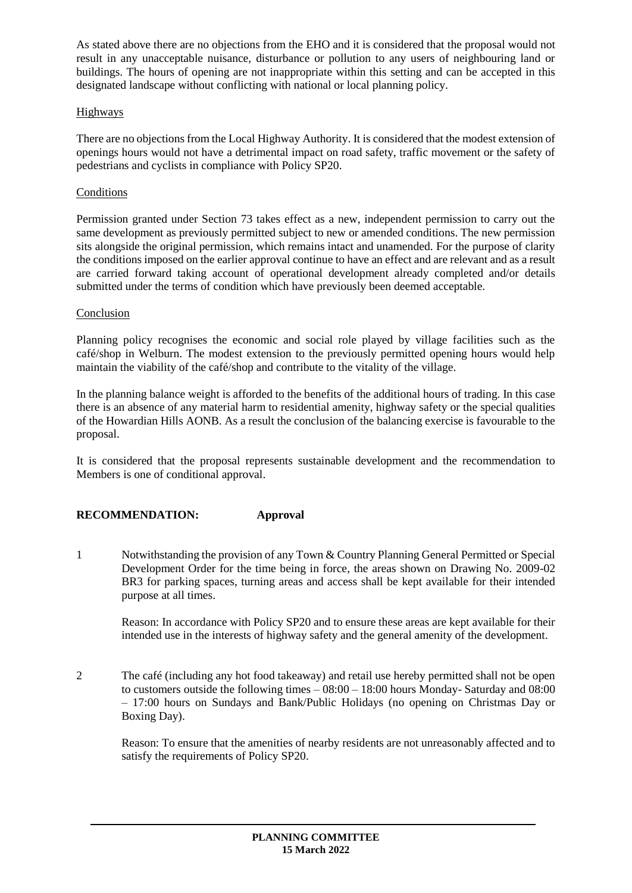As stated above there are no objections from the EHO and it is considered that the proposal would not result in any unacceptable nuisance, disturbance or pollution to any users of neighbouring land or buildings. The hours of opening are not inappropriate within this setting and can be accepted in this designated landscape without conflicting with national or local planning policy.

# Highways

There are no objections from the Local Highway Authority. It is considered that the modest extension of openings hours would not have a detrimental impact on road safety, traffic movement or the safety of pedestrians and cyclists in compliance with Policy SP20.

# **Conditions**

Permission granted under Section 73 takes effect as a new, independent permission to carry out the same development as previously permitted subject to new or amended conditions. The new permission sits alongside the original permission, which remains intact and unamended. For the purpose of clarity the conditions imposed on the earlier approval continue to have an effect and are relevant and as a result are carried forward taking account of operational development already completed and/or details submitted under the terms of condition which have previously been deemed acceptable.

# Conclusion

Planning policy recognises the economic and social role played by village facilities such as the café/shop in Welburn. The modest extension to the previously permitted opening hours would help maintain the viability of the café/shop and contribute to the vitality of the village.

In the planning balance weight is afforded to the benefits of the additional hours of trading. In this case there is an absence of any material harm to residential amenity, highway safety or the special qualities of the Howardian Hills AONB. As a result the conclusion of the balancing exercise is favourable to the proposal.

It is considered that the proposal represents sustainable development and the recommendation to Members is one of conditional approval.

# **RECOMMENDATION: Approval**

1 Notwithstanding the provision of any Town & Country Planning General Permitted or Special Development Order for the time being in force, the areas shown on Drawing No. 2009-02 BR3 for parking spaces, turning areas and access shall be kept available for their intended purpose at all times.

Reason: In accordance with Policy SP20 and to ensure these areas are kept available for their intended use in the interests of highway safety and the general amenity of the development.

2 The café (including any hot food takeaway) and retail use hereby permitted shall not be open to customers outside the following times  $-08:00 - 18:00$  hours Monday-Saturday and 08:00 – 17:00 hours on Sundays and Bank/Public Holidays (no opening on Christmas Day or Boxing Day).

Reason: To ensure that the amenities of nearby residents are not unreasonably affected and to satisfy the requirements of Policy SP20.